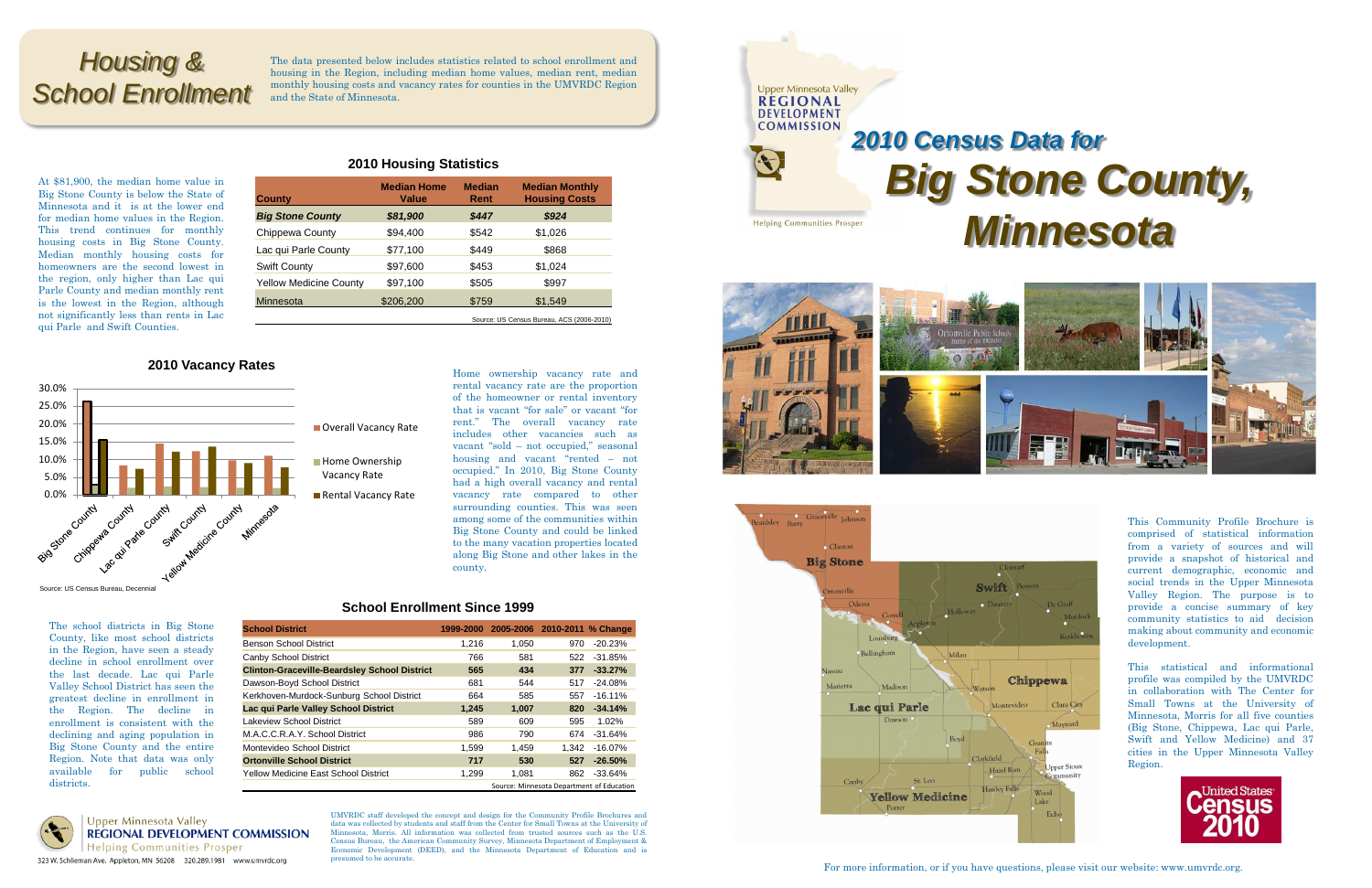At \$81,900, the median home value in Big Stone County is below the State of Minnesota and it is at the lower end for median home values in the Region. This trend continues for monthly housing costs in Big Stone County. Median monthly housing costs for homeowners are the second lowest in the region, only higher than Lac qui Parle County and median monthly rent is the lowest in the Region, although not significantly less than rents in Lac qui Parle and Swift Counties.

#### **2010 Housing Statistics**

### **2010 Vacancy Rates**

The school districts in Big Stone County, like most school districts in the Region, have seen a steady decline in school enrollment over the last decade. Lac qui Parle Valley School District has seen the greatest decline in enrollment in the Region. The decline in enrollment is consistent with the declining and aging population in Big Stone County and the entire Region. Note that data was only available for public school districts.



**Upper Minnesota Valley REGIONAL DEVELOPMENT COMMISSION Helping Communities Prosper** 323 W. Schlieman Ave. Appleton, MN 56208 320.289.1981 www.umvrdc.org

| <b>County</b>                             | <b>Median Home</b><br>Value | <b>Median</b><br>Rent | <b>Median Monthly</b><br><b>Housing Costs</b> |  |  |
|-------------------------------------------|-----------------------------|-----------------------|-----------------------------------------------|--|--|
| <b>Big Stone County</b>                   | \$81,900                    | \$447                 | \$924                                         |  |  |
| Chippewa County                           | \$94,400                    | \$542                 | \$1,026                                       |  |  |
| Lac qui Parle County                      | \$77,100                    | \$449                 | \$868                                         |  |  |
| Swift County                              | \$97,600                    | \$453                 | \$1,024                                       |  |  |
| <b>Yellow Medicine County</b>             | \$97,100                    | \$505                 | \$997                                         |  |  |
| <b>Minnesota</b>                          | \$206,200                   | \$759                 | \$1,549                                       |  |  |
| Source: US Census Bureau, ACS (2006-2010) |                             |                       |                                               |  |  |



UMVRDC staff developed the concept and design for the Community Profile Brochures and data was collected by students and staff from the Center for Small Towns at the University of Minnesota, Morris. All information was collected from trusted sources such as the U.S. Census Bureau, the American Community Survey, Minnesota Department of Employment & Economic Development (DEED), and the Minnesota Department of Education and is presumed to be accurate.

| DEVELOPMENT                        | <b>2010 Census</b>                                                                 |
|------------------------------------|------------------------------------------------------------------------------------|
| <b>COMMISSION</b>                  | <b>Big St</b>                                                                      |
| <b>Helping Communities Prosper</b> | M                                                                                  |
|                                    | <b>Ortonville Public Scho</b><br>Home of the TROJANS<br>force of all Olly Approxy) |

**Upper Minnesota Valley REGIONAL** 





# **tone County,** *Minnesota* **Data for**

Home ownership vacancy rate and rental vacancy rate are the proportion of the homeowner or rental inventory

that is vacant "for sale" or vacant "for rent." The overall vacancy rate includes other vacancies such as vacant "sold – not occupied," seasonal housing and vacant "rented – not occupied." In 2010, Big Stone County had a high overall vacancy and rental vacancy rate compared to other surrounding counties. This was seen

> among some of the communities within Big Stone County and could be linked to the many vacation properties located along Big Stone and other lakes in the

Source: US Census Bureau, Decennia

county.

#### **School Enrollment Since 1999**

For more information, or if you have questions, please visit our website: www.umvrdc.org.

This Community Profile Brochure is comprised of statistical information from a variety of sources and will provide a snapshot of historical and current demographic, economic and social trends in the Upper Minnesota Valley Region. The purpose is to provide a concise summary of key community statistics to aid decision making about community and economic development.

This statistical and informational profile was compiled by the UMVRDC in collaboration with The Center for Small Towns at the University of Minnesota, Morris for all five counties (Big Stone, Chippewa, Lac qui Parle, Swift and Yellow Medicine) and 37 cities in the Upper Minnesota Valley Region.



| <b>School District</b>                              | 1999-2000 | 2005-2006 2010-2011 % Change |       |                                           |
|-----------------------------------------------------|-----------|------------------------------|-------|-------------------------------------------|
| Benson School District                              | 1.216     | 1.050                        | 970   | $-20.23%$                                 |
| Canby School District                               | 766       | 581                          | 522   | $-31.85%$                                 |
| <b>Clinton-Graceville-Beardsley School District</b> | 565       | 434                          | 377   | $-33.27%$                                 |
| Dawson-Boyd School District                         | 681       | 544                          | 517   | $-24.08%$                                 |
| Kerkhoven-Murdock-Sunburg School District           | 664       | 585                          | 557   | $-16.11%$                                 |
| Lac qui Parle Valley School District                | 1,245     | 1,007                        | 820   | $-34.14%$                                 |
| Lakeview School District                            | 589       | 609                          | 595   | 1.02%                                     |
| M.A.C.C.R.A.Y. School District                      | 986       | 790                          | 674   | $-31.64%$                                 |
| Montevideo School District                          | 1,599     | 1,459                        | 1.342 | $-16.07%$                                 |
| <b>Ortonville School District</b>                   | 717       | 530                          | 527   | $-26.50%$                                 |
| Yellow Medicine East School District                | 1,299     | 1,081                        | 862   | $-33.64%$                                 |
|                                                     |           |                              |       | Source: Minnesota Department of Education |

## *Housing & School Enrollment*

The data presented below includes statistics related to school enrollment and housing in the Region, including median home values, median rent, median monthly housing costs and vacancy rates for counties in the UMVRDC Region and the State of Minnesota.